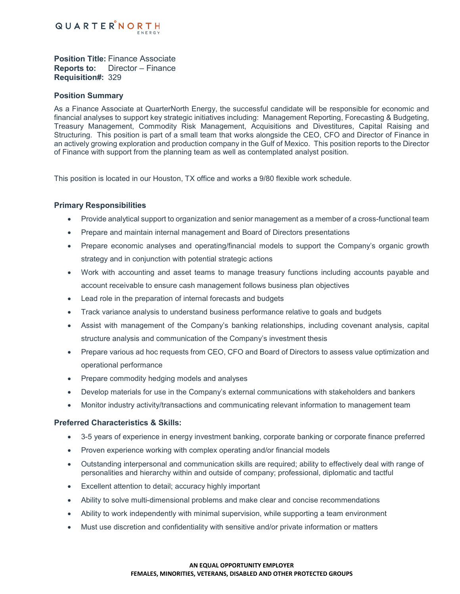

**Position Title:** Finance Associate **Reports to:** Director – Finance **Requisition#:** 329

## **Position Summary**

As a Finance Associate at QuarterNorth Energy, the successful candidate will be responsible for economic and financial analyses to support key strategic initiatives including: Management Reporting, Forecasting & Budgeting, Treasury Management, Commodity Risk Management, Acquisitions and Divestitures, Capital Raising and Structuring. This position is part of a small team that works alongside the CEO, CFO and Director of Finance in an actively growing exploration and production company in the Gulf of Mexico. This position reports to the Director of Finance with support from the planning team as well as contemplated analyst position.

This position is located in our Houston, TX office and works a 9/80 flexible work schedule.

#### **Primary Responsibilities**

- Provide analytical support to organization and senior management as a member of a cross-functional team
- Prepare and maintain internal management and Board of Directors presentations
- Prepare economic analyses and operating/financial models to support the Company's organic growth strategy and in conjunction with potential strategic actions
- Work with accounting and asset teams to manage treasury functions including accounts payable and account receivable to ensure cash management follows business plan objectives
- Lead role in the preparation of internal forecasts and budgets
- Track variance analysis to understand business performance relative to goals and budgets
- Assist with management of the Company's banking relationships, including covenant analysis, capital structure analysis and communication of the Company's investment thesis
- Prepare various ad hoc requests from CEO, CFO and Board of Directors to assess value optimization and operational performance
- Prepare commodity hedging models and analyses
- Develop materials for use in the Company's external communications with stakeholders and bankers
- Monitor industry activity/transactions and communicating relevant information to management team

## **Preferred Characteristics & Skills:**

- 3-5 years of experience in energy investment banking, corporate banking or corporate finance preferred
- Proven experience working with complex operating and/or financial models
- Outstanding interpersonal and communication skills are required; ability to effectively deal with range of personalities and hierarchy within and outside of company; professional, diplomatic and tactful
- Excellent attention to detail; accuracy highly important
- Ability to solve multi-dimensional problems and make clear and concise recommendations
- Ability to work independently with minimal supervision, while supporting a team environment
- Must use discretion and confidentiality with sensitive and/or private information or matters

#### **AN EQUAL OPPORTUNITY EMPLOYER FEMALES, MINORITIES, VETERANS, DISABLED AND OTHER PROTECTED GROUPS**